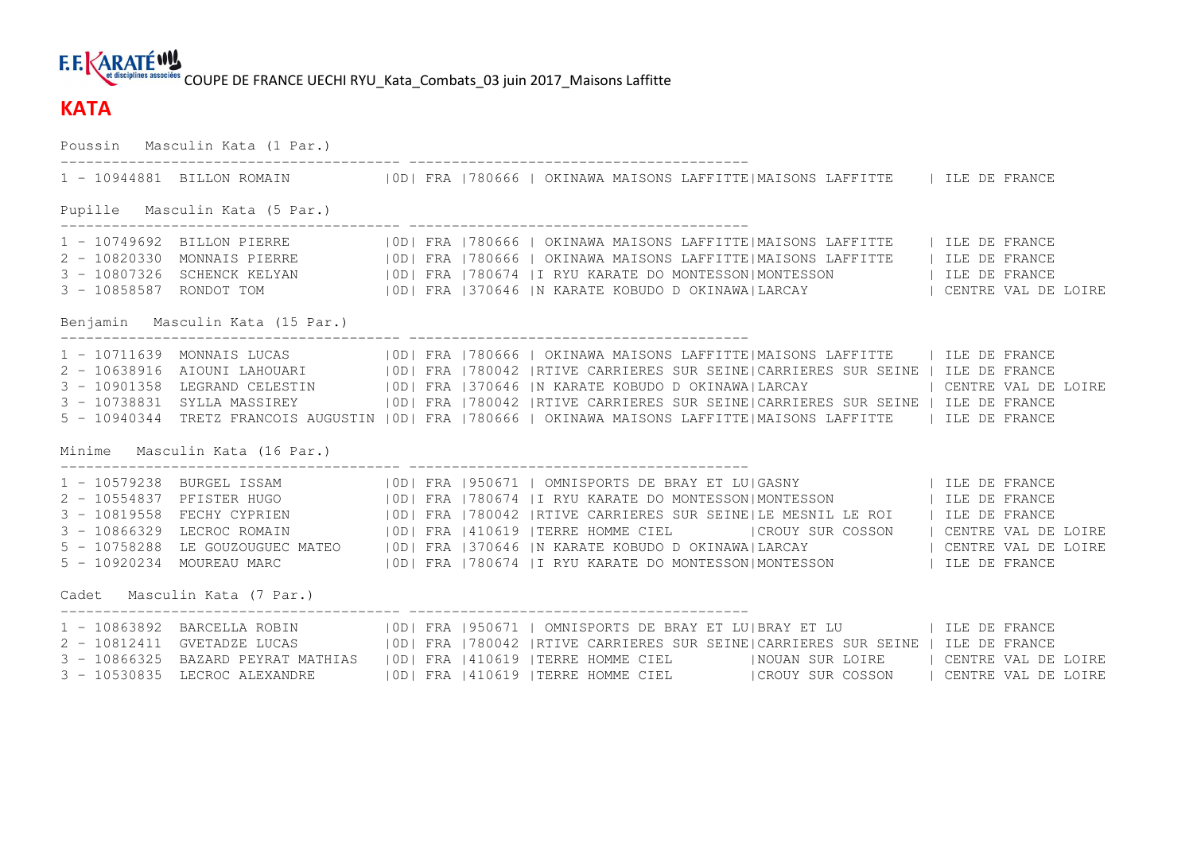### **F.E. KARATÉWY** et disciplines associées COUPE DE FRANCE UECHI RYU Kata Combats 03 juin 2017 Maisons Laffitte

### **KATA**

Poussin Masculin Kata (1 Par.) ---------------------------------------- ---------------------------------------- 1 - 10944881 BILLON ROMAIN |0D| FRA |780666 | OKINAWA MAISONS LAFFITTE|MAISONS LAFFITTE | ILE DE FRANCE Pupille Masculin Kata (5 Par.) ---------------------------------------- ---------------------------------------- 1 - 10749692 BILLON PIERRE |0D| FRA |780666 | OKINAWA MAISONS LAFFITTE|MAISONS LAFFITTE | ILE DE FRANCE 2 - 10820330 MONNAIS PIERRE |0D| FRA |780666 | OKINAWA MAISONS LAFFITTE|MAISONS LAFFITTE | ILE DE FRANCE 3 - 10807326 SCHENCK KELYAN |OD| FRA |780674 |I RYU KARATE DO MONTESSON|MONTESSON | ILE DE FRANCE<br>3 - 10858587 RONDOT TOM |OD| FRA |370646 |N KARATE KOBUDO D OKINAWA|LARCAY Benjamin Masculin Kata (15 Par.) ---------------------------------------- ---------------------------------------- 1 - 10711639 MONNAIS LUCAS |OD| FRA |780666 | OKINAWA MAISONS LAFFITTE|MAISONS LAFFITTE | ILE DE FRANCE 2 - 10638916 AIOUNI LAHOUARI |0D| FRA |780042 |RTIVE CARRIERES SUR SEINE|CARRIERES SUR SEINE | ILE DE FRANCE 3 - 10901358 LEGRAND CELESTIN |OD| FRA |370646 |N KARATE KOBUDO D OKINAWA|LARCAY | CENTRE VAL DE LOIRE<br>3 - 10738831 SYLLA MASSIREY |OD| FRA |780042 |RTIVE CARRIERES SUR SEINE|CARRIERES SU 5 - 10940344 TRETZ FRANCOIS AUGUSTIN |0D| FRA |780666 | OKINAWA MAISONS LAFFITTE|MAISONS LAFFITTE | ILE DE FRANCE Minime Masculin Kata (16 Par.) ---------------------------------------- ---------------------------------------- 1 - 10579238 BURGEL ISSAM |OD| FRA |950671 | OMNISPORTS DE BRAY ET LU|GASNY | ILE DE FRANCE 2 - 10554837 PFISTER HUGO |OD| FRA |780674 |I RYU KARATE DO MONTESSON|MONTESSON | ILE DE FRANCE<br>3 - 10819558 FECHY CYPRIEN |OD| FRA |780042 |RTIVE CARRIERES SUR SEINE|LE MESNIL LE ROI | ILE DE 5 - 10758288 LE GOUZOUGUEC MATEO |0D| FRA |370646 |N KARATE KOBUDO D OKINAWA|LARCAY | CENTRE VAL DE LOIRE 5 - 10920234 MOUREAU MARC |0D| FRA |780674 |I RYU KARATE DO MONTESSON|MONTESSON | ILE DE FRANCE Cadet Masculin Kata (7 Par.) ---------------------------------------- ---------------------------------------- 1 - 10863892 BARCELLA ROBIN |0D| FRA |950671 | OMNISPORTS DE BRAY ET LU|BRAY ET LU | ILE DE FRANCE 2 - 10812411 GVETADZE LUCAS |0D| FRA |780042 |RTIVE CARRIERES SUR SEINE|CARRIERES SUR SEINE | ILE DE FRANCE 3 - 10866325 BAZARD PEYRAT MATHIAS |OD| FRA |410619 |TERRE HOMME CIEL |NOUAN SUR LOIRE | CENTRE VAL DE LOIRE 3 - 10530835 LECROC ALEXANDRE |0D| FRA |410619 |TERRE HOMME CIEL |CROUY SUR COSSON | CENTRE VAL DE LOIRE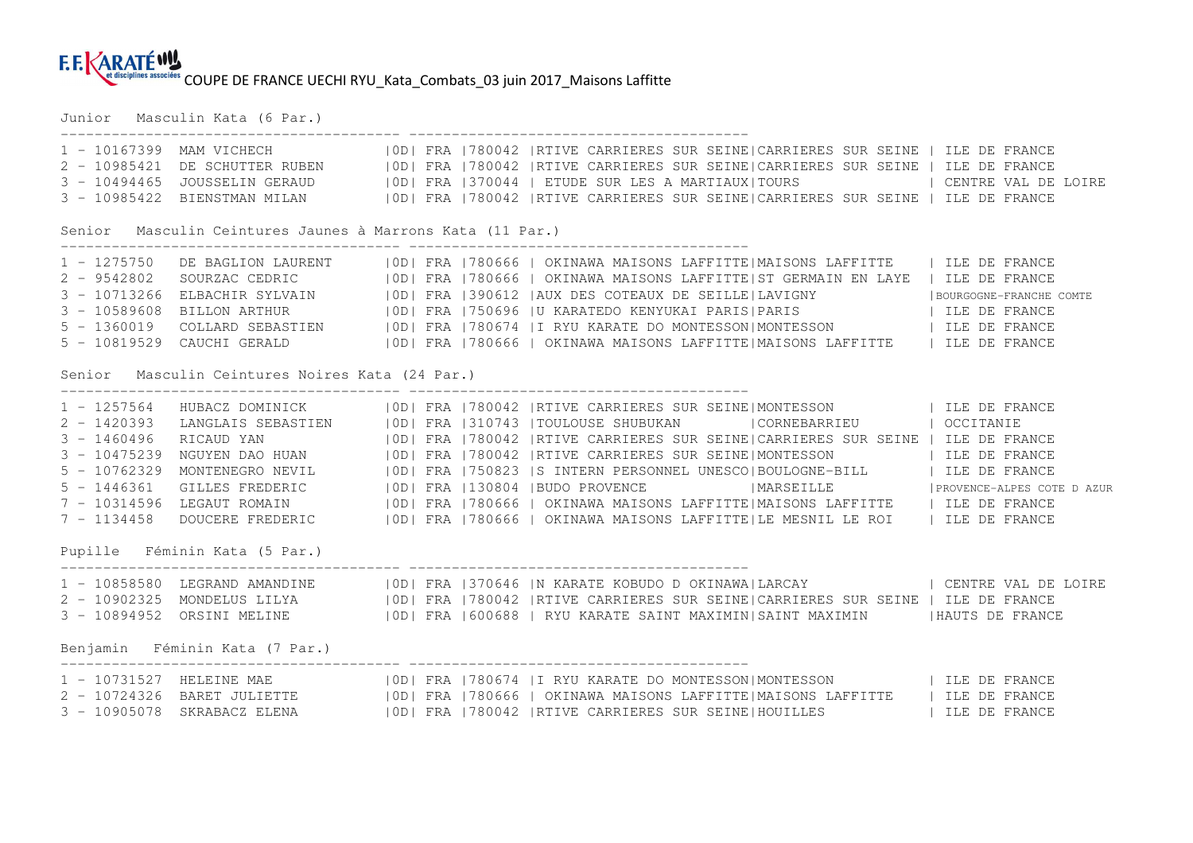Junior Masculin Kata (6 Par.)

|                |                                                           |  | 1 - 10167399 MAM VICHECH   OD  FRA   780042   RTIVE CARRIERES SUR SEINE   CARRIERES SUR SEINE   ILE DE FRANCE                                                                                                                  |                            |
|----------------|-----------------------------------------------------------|--|--------------------------------------------------------------------------------------------------------------------------------------------------------------------------------------------------------------------------------|----------------------------|
|                |                                                           |  | 2 - 10985421 DE SCHUTTER RUBEN   OD  FRA   780042   RTIVE CARRIERES SUR SEINE  CARRIERES SUR SEINE   ILE DE FRANCE                                                                                                             |                            |
| $3 - 10494465$ |                                                           |  | JOUSSELIN GERAUD (OD) FRA 370044   ETUDE SUR LES A MARTIAUX TOURS   CENTRE VAL DE LOIRE                                                                                                                                        |                            |
| $3 - 10985422$ |                                                           |  | BIENSTMAN MILAN 61   1990   ERA   780042   RTIVE CARRIERES SUR SEINE   CARRIERES SUR SEINE   ILE DE FRANCE                                                                                                                     |                            |
|                | Senior Masculin Ceintures Jaunes à Marrons Kata (11 Par.) |  |                                                                                                                                                                                                                                |                            |
| $1 - 1275750$  |                                                           |  | DE BAGLION LAURENT   OD  FRA   780666   OKINAWA MAISONS LAFFITTE  MAISONS LAFFITTE     ILE DE FRANCE                                                                                                                           |                            |
|                |                                                           |  |                                                                                                                                                                                                                                |                            |
|                |                                                           |  | 2 - 9542802 SOURZAC CEDRIC   0D  FRA   780666   OKINAWA MAISONS LAFFITTE ST GERMAIN EN LAYE   ILE DE FRANCE<br>3 - 10713266 ELBACHIR SYLVAIN   0D  FRA   390612   AUX DES COTEAUX DE SEILLE  LAVIGNY   BOURGOGNE-FRANCHE COMTE |                            |
| $3 - 10589608$ |                                                           |  | BILLON ARTHUR 6   OD  FRA   750696   U KARATEDO KENYUKAI PARIS  PARIS   TLE DE FRANCE                                                                                                                                          |                            |
| $5 - 1360019$  |                                                           |  | COLLARD SEBASTIEN   OD  FRA   780674   I RYU KARATE DO MONTESSON  MONTESSON   ILE DE FRANCE                                                                                                                                    |                            |
|                |                                                           |  | 5 - 10819529 CAUCHI GERALD (OD) FRA 780666   OKINAWA MAISONS LAFFITTE   MAISONS LAFFITTE   ILE DE FRANCE                                                                                                                       |                            |
|                | Senior Masculin Ceintures Noires Kata (24 Par.)           |  |                                                                                                                                                                                                                                |                            |
| $1 - 1257564$  |                                                           |  | HUBACZ DOMINICK   OD  FRA   780042   RTIVE CARRIERES SUR SEINE   MONTESSON   ILE DE FRANCE                                                                                                                                     |                            |
| $2 - 1420393$  |                                                           |  | LANGLAIS SEBASTIEN   0D  FRA   310743   TOULOUSE SHUBUKAN   CORNEBARRIEU   OCCITANIE                                                                                                                                           |                            |
| $3 - 1460496$  | RICAUD YAN                                                |  | OD  FRA   780042   RTIVE CARRIERES SUR SEINE  CARRIERES SUR SEINE   ILE DE FRANCE                                                                                                                                              |                            |
| $3 - 10475239$ |                                                           |  | NGUYEN DAO HUAN   0D  FRA   780042   RTIVE CARRIERES SUR SEINE   MONTESSON   ILE DE FRANCE                                                                                                                                     |                            |
| $5 - 10762329$ |                                                           |  | MONTENEGRO NEVIL (0D) FRA   750823   S INTERN PERSONNEL UNESCO   BOULOGNE-BILL   ILE DE FRANCE                                                                                                                                 |                            |
| $5 - 1446361$  |                                                           |  | GILLES FREDERIC   OD  FRA   130804   BUDO PROVENCE   MARSEILLE                                                                                                                                                                 | PROVENCE-ALPES COTE D AZUR |
|                |                                                           |  | 7 - 10314596 LEGAUT ROMAIN   0D  FRA   780666   OKINAWA MAISONS LAFFITTE   MAISONS LAFFITTE   ILE DE FRANCE                                                                                                                    |                            |
| $7 - 1134458$  |                                                           |  | DOUCERE FREDERIC   0D  FRA   780666   OKINAWA MAISONS LAFFITTE LE MESNIL LE ROI   ILE DE FRANCE                                                                                                                                |                            |
|                | Pupille Féminin Kata (5 Par.)                             |  |                                                                                                                                                                                                                                |                            |
|                |                                                           |  | 1 - 10858580 LEGRAND AMANDINE   OD  FRA   370646   N KARATE KOBUDO D OKINAWA  LARCAY     CENTRE VAL DE LOIRE                                                                                                                   |                            |
|                |                                                           |  | 2 - 10902325 MONDELUS LILYA   OD  FRA   780042   RTIVE CARRIERES SUR SEINE  CARRIERES SUR SEINE   ILE DE FRANCE                                                                                                                |                            |
|                |                                                           |  | 3 - 10894952 ORSINI MELINE   0D  FRA   600688   RYU KARATE SAINT MAXIMIN  SAINT MAXIMIN   HAUTS DE FRANCE                                                                                                                      |                            |
|                | Benjamin Féminin Kata (7 Par.)                            |  |                                                                                                                                                                                                                                |                            |
|                |                                                           |  | 1 - 10731527 HELEINE MAE   0D  FRA   780674   I RYU KARATE DO MONTESSON  MONTESSON   ILE DE FRANCE                                                                                                                             |                            |
|                |                                                           |  |                                                                                                                                                                                                                                |                            |
|                |                                                           |  | 3 - 10905078 SKRABACZ ELENA   0D  FRA   780042   RTIVE CARRIERES SUR SEINE   HOUILLES   ILE DE FRANCE                                                                                                                          |                            |
|                |                                                           |  |                                                                                                                                                                                                                                |                            |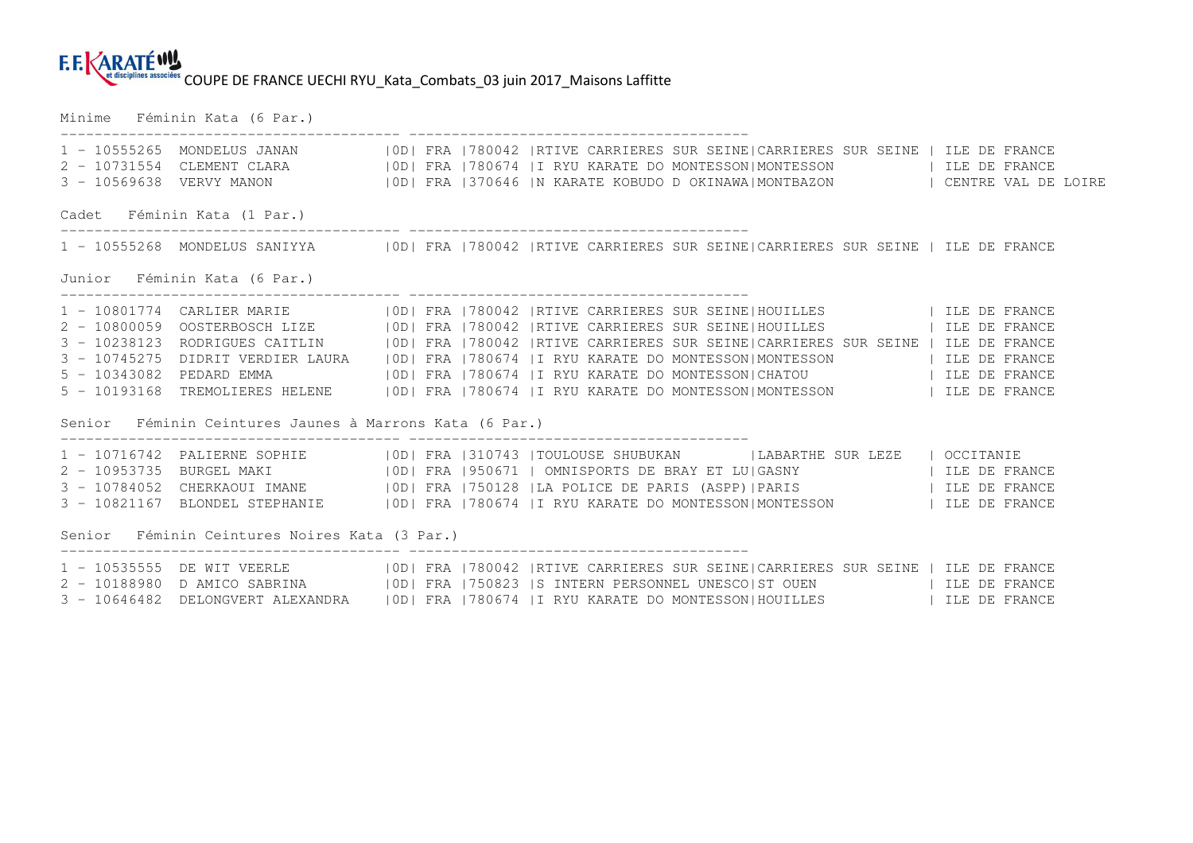Minime Féminin Kata (6 Par.)

|                                               | ----------------------------------<br>1 - 10555265 MONDELUS JANAN 600   IOD   FRA   780042   RTIVE CARRIERES SUR SEINE   CARRIERES SUR SEINE   ILE DE FRANCE<br>2 - 10731554 CLEMENT CLARA     0D  FRA   780674   IRYU KARATE DO MONTESSON  MONTESSON   ILE DE FRANCE<br>3 - 10569638 VERVY MANON (OD) FRA 1370646  N KARATE KOBUDO D OKINAWA MONTBAZON   CENTRE VAL DE LOIRE                                                                                                                                                                                                                                             |  |  |  |  |  |  |  |  |  |  |  |
|-----------------------------------------------|---------------------------------------------------------------------------------------------------------------------------------------------------------------------------------------------------------------------------------------------------------------------------------------------------------------------------------------------------------------------------------------------------------------------------------------------------------------------------------------------------------------------------------------------------------------------------------------------------------------------------|--|--|--|--|--|--|--|--|--|--|--|
| Cadet Féminin Kata (1 Par.)                   |                                                                                                                                                                                                                                                                                                                                                                                                                                                                                                                                                                                                                           |  |  |  |  |  |  |  |  |  |  |  |
|                                               | 1 - 10555268 MONDELUS SANIYYA   0D  FRA   780042   RTIVE CARRIERES SUR SEINE   CARRIERES SUR SEINE   ILE DE FRANCE                                                                                                                                                                                                                                                                                                                                                                                                                                                                                                        |  |  |  |  |  |  |  |  |  |  |  |
| Junior Féminin Kata (6 Par.)                  |                                                                                                                                                                                                                                                                                                                                                                                                                                                                                                                                                                                                                           |  |  |  |  |  |  |  |  |  |  |  |
|                                               | 1 - 10801774 CARLIER MARIE   0D  FRA   780042   RTIVE CARRIERES SUR SEINE   HOUILLES     ILE DE FRANCE<br>3 - 10238123 RODRIGUES CAITLIN   OD  FRA   780042   RTIVE CARRIERES SUR SEINE  CARRIERES SUR SEINE   ILE DE FRANCE<br>3 - 10745275 DIDRIT VERDIER LAURA   OD  FRA   780674   I RYU KARATE DO MONTESSON  MONTESSON     ILE DE FRANCE<br>5 - 10343082 PEDARD EMMA   OD  FRA   780674   I RYU KARATE DO MONTESSON  CHATOU   ILE DE FRANCE<br>5 - 10193168 TREMOLIERES HELENE   0D  FRA   780674   I RYU KARATE DO MONTESSON   MONTESSON   ILE DE FRANCE<br>Senior Féminin Ceintures Jaunes à Marrons Kata (6 Par.) |  |  |  |  |  |  |  |  |  |  |  |
|                                               | 1 - 10716742 PALIERNE SOPHIE   0D  FRA   310743   TOULOUSE SHUBUKAN     LABARTHE SUR LEZE   OCCITANIE<br>2 - 10953735 BURGEL MAKI (OD) FRA 1950671   OMNISPORTS DE BRAY ET LU GASNY   TLE DE FRANCE<br>3 - 10784052 CHERKAOUI IMANE   OD  FRA   750128   LA POLICE DE PARIS (ASPP)   PARIS     ILE DE FRANCE<br>3 - 10821167 BLONDEL STEPHANIE   OD  FRA   780674   I RYU KARATE DO MONTESSON  MONTESSON   ILE DE FRANCE                                                                                                                                                                                                  |  |  |  |  |  |  |  |  |  |  |  |
| Senior Féminin Ceintures Noires Kata (3 Par.) |                                                                                                                                                                                                                                                                                                                                                                                                                                                                                                                                                                                                                           |  |  |  |  |  |  |  |  |  |  |  |
|                                               | 1 - 10535555 DE WIT VEERLE   OD  FRA   780042   RTIVE CARRIERES SUR SEINE  CARRIERES SUR SEINE   ILE DE FRANCE<br>2 - 10188980 D AMICO SABRINA   OD  FRA   750823   S INTERN PERSONNEL UNESCO  ST OUEN   ILE DE FRANCE<br>3 - 10646482 DELONGVERT ALEXANDRA   OD  FRA   780674   IRYU KARATE DO MONTESSON HOUILLES     ILE DE FRANCE                                                                                                                                                                                                                                                                                      |  |  |  |  |  |  |  |  |  |  |  |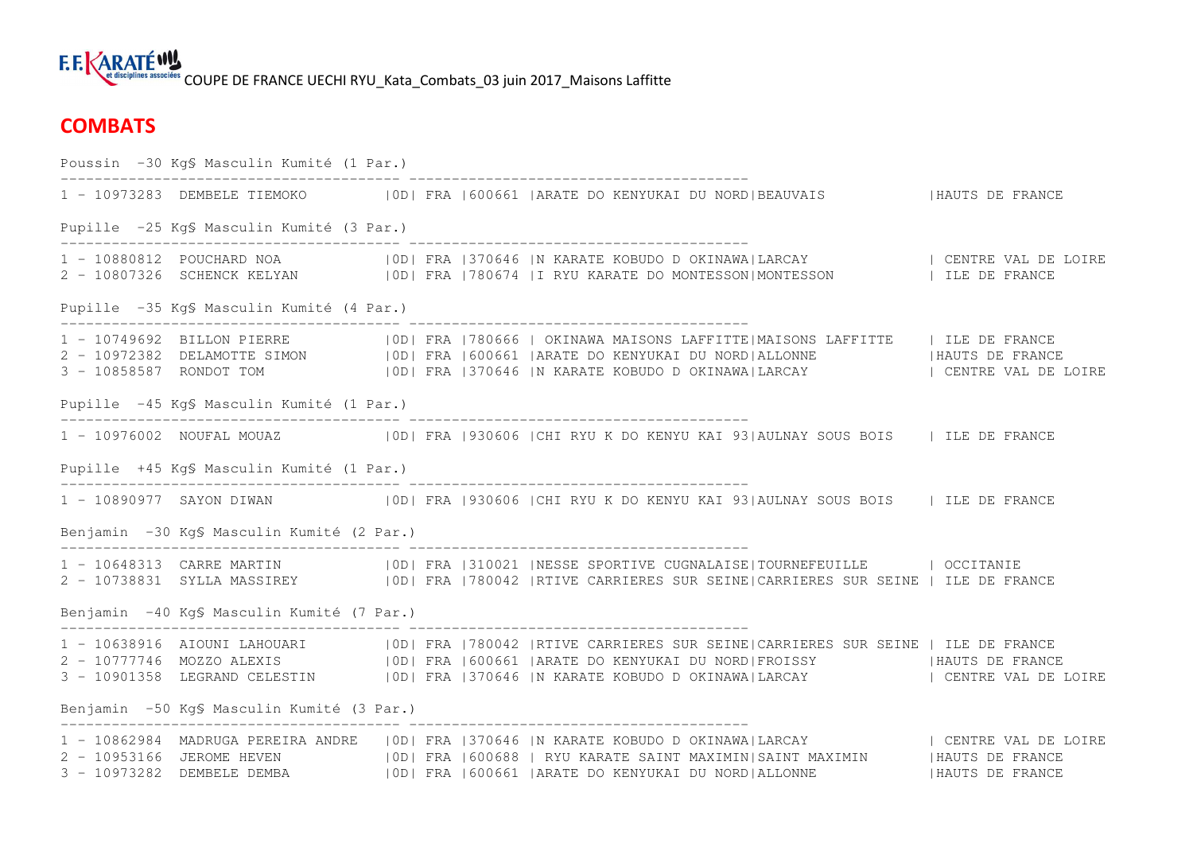### **E.E.KARATÉW!** et disciplines associées COUPE DE FRANCE UECHI RYU Kata Combats 03 juin 2017 Maisons Laffitte

## **COMBATS**

Poussin -30 Kg§ Masculin Kumité (1 Par.) ---------------------------------------- ---------------------------------------- 1 - 10973283 DEMBELE TIEMOKO |OD| FRA |600661 |ARATE DO KENYUKAI DU NORD|BEAUVAIS |HAUTS DE FRANCE Pupille -25 Kg§ Masculin Kumité (3 Par.) ---------------------------------------- ---------------------------------------- 1 - 10880812 POUCHARD NOA |0D| FRA |370646 |N KARATE KOBUDO D OKINAWA|LARCAY | CENTRE VAL DE LOIRE 2 - 10807326 SCHENCK KELYAN |0D| FRA |780674 |I RYU KARATE DO MONTESSON|MONTESSON | ILE DE FRANCE Pupille -35 Kg§ Masculin Kumité (4 Par.) ---------------------------------------- ---------------------------------------- 1 - 10749692 BILLON PIERRE |OD| FRA |780666 | OKINAWA MAISONS LAFFITTE|MAISONS LAFFITTE | ILE DE FRANCE<br>2 - 10972382 DELAMOTTE SIMON |OD| FRA |600661 |ARATE DO KENYUKAI DU NORD|ALLONNE | 3 - 10858587 RONDOT TOM |0D| FRA |370646 |N KARATE KOBUDO D OKINAWA|LARCAY | CENTRE VAL DE LOIRE Pupille -45 Kg§ Masculin Kumité (1 Par.) ---------------------------------------- ---------------------------------------- 1 - 10976002 NOUFAL MOUAZ |OD| FRA |930606 |CHI RYU K DO KENYU KAI 93|AULNAY SOUS BOIS | ILE DE FRANCE Pupille +45 Kg§ Masculin Kumité (1 Par.) ---------------------------------------- ---------------------------------------- 1 - 10890977 SAYON DIWAN |0D| FRA |930606 |CHI RYU K DO KENYU KAI 93|AULNAY SOUS BOIS | ILE DE FRANCE Benjamin -30 Kg§ Masculin Kumité (2 Par.) ---------------------------------------- ---------------------------------------- 1 - 10648313 CARRE MARTIN |OD| FRA |310021 |NESSE SPORTIVE CUGNALAISE|TOURNEFEUILLE | OCCITANIE<br>2 - 10738831 SYLLA MASSIREY |OD| FRA |780042 |RTIVE CARRIERES SUR SEINE|CARRIERES SUR SEINE | Benjamin -40 Kg§ Masculin Kumité (7 Par.) ---------------------------------------- ---------------------------------------- 1 - 10638916 AIOUNI LAHOUARI |OD| FRA |780042 |RTIVE CARRIERES SUR SEINE|CARRIERES SUR SEINE | ILE DE FRANCE<br>2 - 10777746 MOZZO ALEXIS |OD| FRA |600661 |ARATE DO KENYUKAI DU NORD|FROISSY |HAUTS 3 - 10901358 LEGRAND CELESTIN |OD| FRA |370646 |N KARATE KOBUDO D OKINAWA|LARCAY | CENTRE VAL DE LOIRE Benjamin -50 Kg§ Masculin Kumité (3 Par.) ---------------------------------------- ---------------------------------------- 1 - 10862984 MADRUGA PEREIRA ANDRE |0D| FRA |370646 |N KARATE KOBUDO D OKINAWA|LARCAY | CENTRE VAL DE LOIRE 2 - 10953166 JEROME HEVEN |0D| FRA |600688 | RYU KARATE SAINT MAXIMIN|SAINT MAXIMIN |HAUTS DE FRANCE<br>3 - 10973282 DEMBELE DEMBA |0D| FRA |600661 |ARATE DO KENYUKAI DU NORD|ALLONNE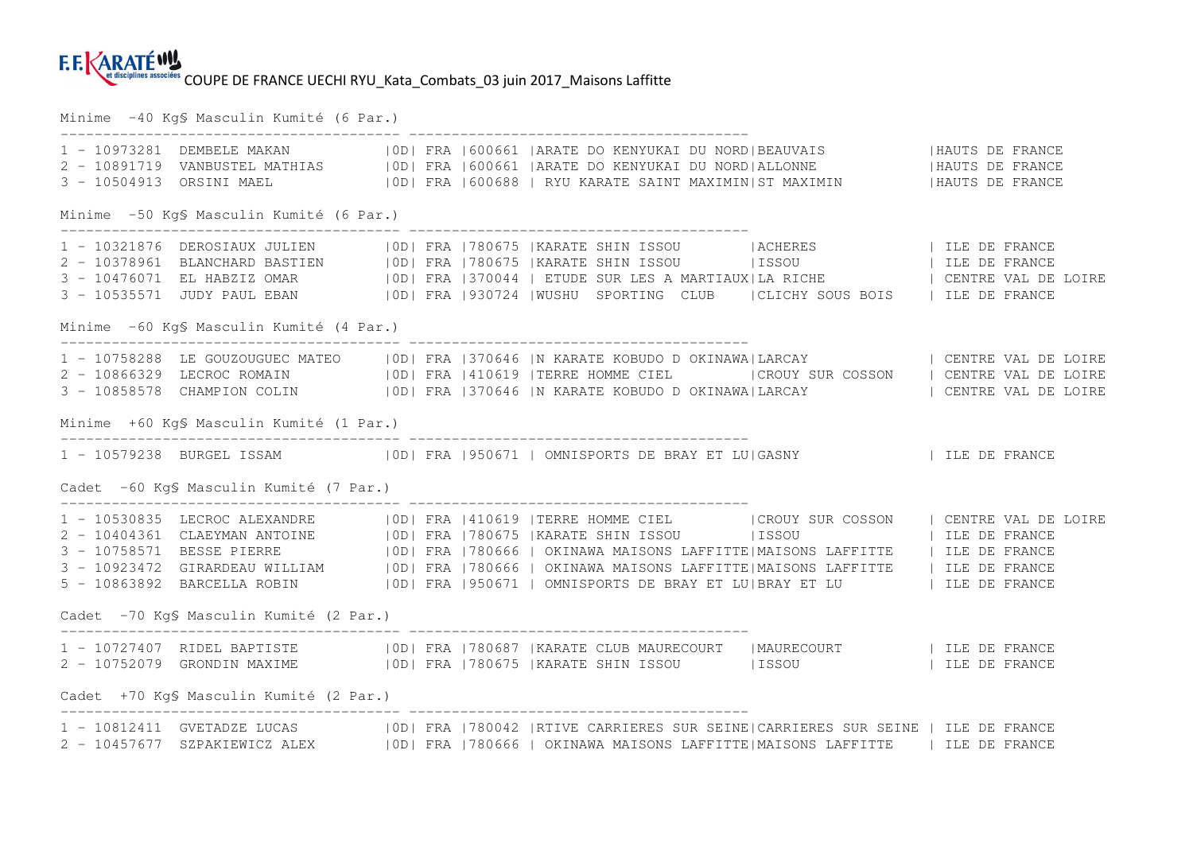Minime -40 Kg§ Masculin Kumité (6 Par.)

|                                          |  | 1 - 10973281 DEMBELE MAKAN             OD  FRA  600661  ARATE DO KENYUKAI DU NORD BEAUVAIS                 HAUTS DE FRANCE<br>2 - 10891719 VANBUSTEL MATHIAS         OD  FRA  600661  ARATE DO KENYUKAI DU NORD ALLONNE                                                                                                                                                                                                                                                                                                                                         |  |  |
|------------------------------------------|--|-----------------------------------------------------------------------------------------------------------------------------------------------------------------------------------------------------------------------------------------------------------------------------------------------------------------------------------------------------------------------------------------------------------------------------------------------------------------------------------------------------------------------------------------------------------------|--|--|
| Minime -50 Kg\$ Masculin Kumité (6 Par.) |  |                                                                                                                                                                                                                                                                                                                                                                                                                                                                                                                                                                 |  |  |
|                                          |  | 3 - 10476071 EL HABZIZ OMAR (1910) FRA 1370044   ETUDE SUR LES A MARTIAUX LA RICHE (2013)   CENTRE VAL DE LOIRE<br>3 - 10535571 JUDY PAUL EBAN (1910) FRA 1930724  WUSHU SPORTING CLUB (ICLICHY SOUS BOIS (11 LE DE FRANCE)                                                                                                                                                                                                                                                                                                                                     |  |  |
| Minime -60 Kg\$ Masculin Kumité (4 Par.) |  |                                                                                                                                                                                                                                                                                                                                                                                                                                                                                                                                                                 |  |  |
|                                          |  | 1 - 10758288 LE GOUZOUGUEC MATEO   OD  FRA   370646   N KARATE KOBUDO D OKINAWA  LARCAY   CENTRE VAL DE LOIRE<br>2 - 10866329 LECROC ROMAIN   OD  FRA   410619   TERRE HOMME CIEL     CROUY SUR COSSON   CENTRE VAL DE LOIRE<br>3 - 10858578 CHAMPION COLIN   OD  FRA   370646  N KARATE KOBUDO DOKINAWA LARCAY     CENTRE VAL DE LOIRE                                                                                                                                                                                                                         |  |  |
| Minime +60 KgS Masculin Kumité (1 Par.)  |  |                                                                                                                                                                                                                                                                                                                                                                                                                                                                                                                                                                 |  |  |
|                                          |  | 1 - 10579238 BURGEL ISSAM   0D  FRA   950671   OMNISPORTS DE BRAY ET LU GASNY     ILE DE FRANCE                                                                                                                                                                                                                                                                                                                                                                                                                                                                 |  |  |
| Cadet -60 KgS Masculin Kumité (7 Par.)   |  |                                                                                                                                                                                                                                                                                                                                                                                                                                                                                                                                                                 |  |  |
|                                          |  | 1 - 10530835 LECROC ALEXANDRE   OD  FRA   410619   TERRE HOMME CIEL   CROUY SUR COSSON   CENTRE VAL DE LOIRE<br>2 - 10404361 CLAEYMAN ANTOINE   OD  FRA   780675   KARATE SHIN ISSOU   ISSOU   ISSOU   ILE DE FRANCE<br>3 - 10758571 BESSE PIERRE   0D   FRA   780666   OKINAWA MAISONS LAFFITTE   MAISONS LAFFITTE   ILE DE FRANCE<br>3 - 10923472 GIRARDEAU WILLIAM   OD  FRA   780666   OKINAWA MAISONS LAFFITTE   MAISONS LAFFITTE   ILE DE FRANCE<br>5 - 10863892 BARCELLA ROBIN   0D  FRA   950671   OMNISPORTS DE BRAY ET LU  BRAY ET LU   ILE DE FRANCE |  |  |
| Cadet -70 KgS Masculin Kumité (2 Par.)   |  |                                                                                                                                                                                                                                                                                                                                                                                                                                                                                                                                                                 |  |  |
| Cadet +70 KgS Masculin Kumité (2 Par.)   |  | 2 - 10752079 GRONDIN MAXIME   0D  FRA   780675   KARATE SHIN ISSOU   ISSOU   ISSOU   ILE DE FRANCE                                                                                                                                                                                                                                                                                                                                                                                                                                                              |  |  |
|                                          |  | 1 - 10812411 GVETADZE LUCAS   OD  FRA   780042   RTIVE CARRIERES SUR SEINE  CARRIERES SUR SEINE   ILE DE FRANCE                                                                                                                                                                                                                                                                                                                                                                                                                                                 |  |  |
|                                          |  | 2 - 10457677 SZPAKIEWICZ ALEX   OD  FRA   780666   OKINAWA MAISONS LAFFITTE   MAISONS LAFFITTE   ILE DE FRANCE                                                                                                                                                                                                                                                                                                                                                                                                                                                  |  |  |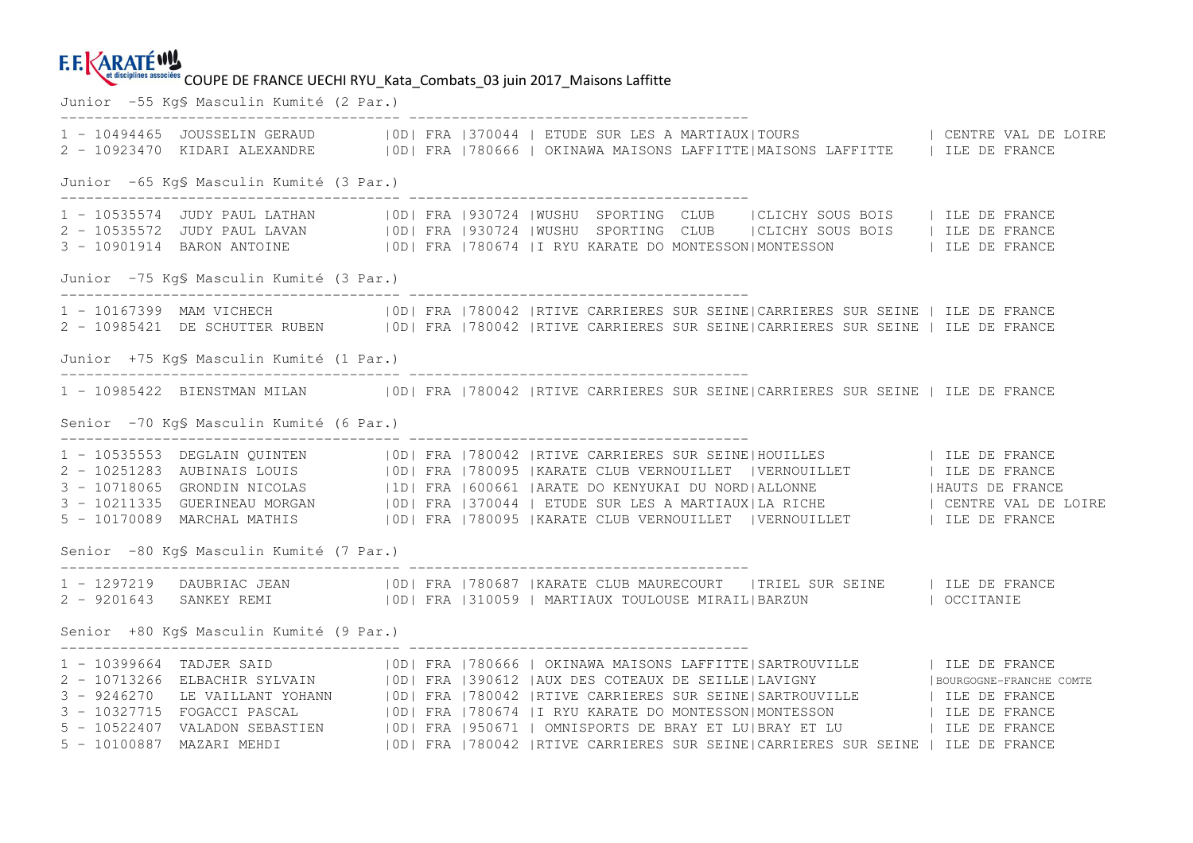#### **F.E. KARATÉWY** et disciplines associées COUPE DE FRANCE UECHI RYU Kata Combats\_03 juin 2017\_Maisons Laffitte

Junior -55 Kg§ Masculin Kumité (2 Par.) ---------------------------------------- ---------------------------------------- 1 - 10494465 JOUSSELIN GERAUD |0D| FRA |370044 | ETUDE SUR LES A MARTIAUX|TOURS | CENTRE VAL DE LOIRE 2 - 10923470 KIDARI ALEXANDRE | 0D| FRA |780666 | OKINAWA MAISONS LAFFITTE|MAISONS LAFFITTE | ILE DE FRANCE Junior -65 Kg§ Masculin Kumité (3 Par.) ---------------------------------------- ---------------------------------------- 1 - 10535574 JUDY PAUL LATHAN |0D| FRA |930724 |WUSHU SPORTING CLUB |CLICHY SOUS BOIS | ILE DE FRANCE 2 - 10535572 JUDY PAUL LAVAN | OD| FRA |930724 |WUSHU SPORTING CLUB | CLICHY SOUS BOIS | ILE DE FRANCE 3 - 10901914 BARON ANTOINE |0D| FRA |780674 |I RYU KARATE DO MONTESSON|MONTESSON | ILE DE FRANCE Junior -75 Kg§ Masculin Kumité (3 Par.) ---------------------------------------- ---------------------------------------- 1 - 10167399 MAM VICHECH |0D| FRA |780042 |RTIVE CARRIERES SUR SEINE|CARRIERES SUR SEINE | ILE DE FRANCE 2 - 10985421 DE SCHUTTER RUBEN |0D| FRA |780042 |RTIVE CARRIERES SUR SEINE|CARRIERES SUR SEINE | ILE DE FRANCE Junior +75 Kg§ Masculin Kumité (1 Par.) ---------------------------------------- ---------------------------------------- 1 - 10985422 BIENSTMAN MILAN |0D| FRA |780042 |RTIVE CARRIERES SUR SEINE|CARRIERES SUR SEINE | ILE DE FRANCE Senior -70 Kg§ Masculin Kumité (6 Par.) ---------------------------------------- ---------------------------------------- 1 - 10535553 DEGLAIN QUINTEN (100 | FRA | 780042 | RTIVE CARRIERES SUR SEINE | HOUILLES (11 | ILE DE FRANCE)<br>2 - 10251283 AUBINAIS LOUIS (100 | FRA | 780095 | KARATE CLUB VERNOUILLET | VERNOUILLET (11 | ILE DE FRANCE)<br>3 - 5 - 10170089 MARCHAL MATHIS | 0D| FRA |780095 |KARATE CLUB VERNOUILLET | VERNOUILLET | ILE DE FRANCE Senior -80 Kg§ Masculin Kumité (7 Par.) ---------------------------------------- ---------------------------------------- 1 - 1297219 DAUBRIAC JEAN |0D| FRA |780687 |KARATE CLUB MAURECOURT |TRIEL SUR SEINE | ILE DE FRANCE 2 - 9201643 SANKEY REMI |0D| FRA |310059 | MARTIAUX TOULOUSE MIRAIL|BARZUN | OCCITANIE Senior +80 Kg§ Masculin Kumité (9 Par.) ---------------------------------------- ---------------------------------------- 1 - 10399664 TADJER SAID | |0D| FRA |780666 | OKINAWA MAISONS LAFFITTE|SARTROUVILLE | | ILE DE FRANCE | BOURGOGNE-FRANCHE COMTE 2 - 10713266 ELBACHIR SYLVAIN | OD| FRA |390612 |AUX DES COTEAUX DE SEILLE|LAVIGNY 3 - 9246270 LE VAILLANT YOHANN |0D| FRA |780042 |RTIVE CARRIERES SUR SEINE|SARTROUVILLE | ILE DE FRANCE 3 - 10327715 FOGACCI PASCAL |OD| FRA |780674 |I RYU KARATE DO MONTESSON|MONTESSON | ILE DE FRANCE<br>5 - 10522407 VALADON SEBASTIEN |OD| FRA |950671 | OMNISPORTS DE BRAY ET LU|BRAY ET LU 5 - 10100887 MAZARI MEHDI |0D| FRA |780042 |RTIVE CARRIERES SUR SEINE|CARRIERES SUR SEINE | ILE DE FRANCE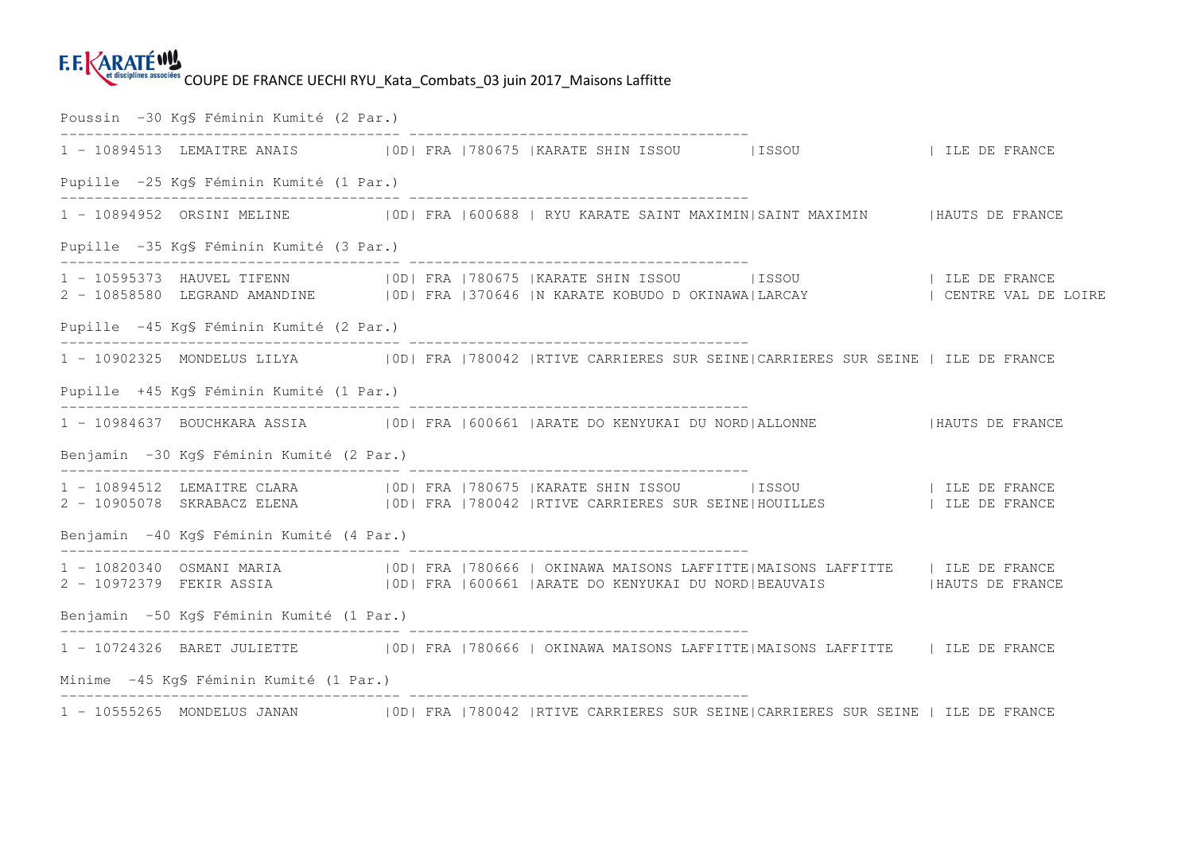### **E.E.KARATÉWY** et disciplines associées COUPE DE FRANCE UECHI RYU Kata Combats 03 juin 2017 Maisons Laffitte

Poussin -30 Kg§ Féminin Kumité (2 Par.) ---------------------------------------- ---------------------------------------- 1 - 10894513 LEMAITRE ANAIS |OD| FRA |780675 |KARATE SHIN ISSOU |ISSOU |ILE DE FRANCE Pupille -25 Kg§ Féminin Kumité (1 Par.) ---------------------------------------- ---------------------------------------- 1 - 10894952 ORSINI MELINE |OD| FRA |600688 | RYU KARATE SAINT MAXIMIN|SAINT MAXIMIN |HAUTS DE FRANCE Pupille -35 Kg§ Féminin Kumité (3 Par.) ---------------------------------------- ---------------------------------------- 1 - 10595373 HAUVEL TIFENN |OD| FRA |780675 |KARATE SHIN ISSOU |ISSOU |ILE DE FRANCE 2 - 10858580 LEGRAND AMANDINE | |0D| FRA |370646 |N KARATE KOBUDO D OKINAWA|LARCAY | | CENTRE VAL DE LOIRE | Pupille -45 Kg§ Féminin Kumité (2 Par.) ---------------------------------------- ---------------------------------------- 1 - 10902325 MONDELUS LILYA |0D| FRA |780042 |RTIVE CARRIERES SUR SEINE|CARRIERES SUR SEINE | ILE DE FRANCE Pupille +45 Kg§ Féminin Kumité (1 Par.) ---------------------------------------- ---------------------------------------- 1 - 10984637 BOUCHKARA ASSIA |OD| FRA |600661 |ARATE DO KENYUKAI DU NORD|ALLONNE |HAUTS DE FRANCE Benjamin -30 Kg§ Féminin Kumité (2 Par.) ---------------------------------------- ---------------------------------------- 1 - 10894512 LEMAITRE CLARA |OD| FRA |780675 |KARATE SHIN ISSOU |ISSOU | ILE DE FRANCE<br>2 - 10905078 SKRABACZ ELENA |OD| FRA |780042 |RTIVE CARRIERES SUR SEINE|HOUILLES Benjamin -40 Kg§ Féminin Kumité (4 Par.) ---------------------------------------- ---------------------------------------- 1 - 10820340 OSMANI MARIA |0D| FRA |780666 | OKINAWA MAISONS LAFFITTE|MAISONS LAFFITTE | ILE DE FRANCE 2 - 10972379 FEKIR ASSIA |0D| FRA |600661 |ARATE DO KENYUKAI DU NORD|BEAUVAIS |HAUTS DE FRANCE Benjamin -50 Kg§ Féminin Kumité (1 Par.) ---------------------------------------- ---------------------------------------- 1 - 10724326 BARET JULIETTE |OD| FRA |780666 | OKINAWA MAISONS LAFFITTE|MAISONS LAFFITTE | ILE DE FRANCE Minime -45 Kg§ Féminin Kumité (1 Par.) ---------------------------------------- ---------------------------------------- 1 - 10555265 MONDELUS JANAN |0D| FRA |780042 |RTIVE CARRIERES SUR SEINE|CARRIERES SUR SEINE | ILE DE FRANCE